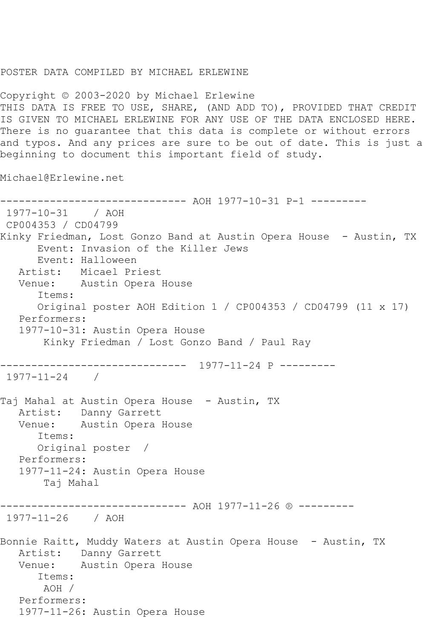## POSTER DATA COMPILED BY MICHAEL ERLEWINE

Copyright © 2003-2020 by Michael Erlewine THIS DATA IS FREE TO USE, SHARE, (AND ADD TO), PROVIDED THAT CREDIT IS GIVEN TO MICHAEL ERLEWINE FOR ANY USE OF THE DATA ENCLOSED HERE. There is no guarantee that this data is complete or without errors and typos. And any prices are sure to be out of date. This is just a beginning to document this important field of study.

Michael@Erlewine.net

------------------------------ AOH 1977-10-31 P-1 --------- 1977-10-31 / AOH CP004353 / CD04799 Kinky Friedman, Lost Gonzo Band at Austin Opera House - Austin, TX Event: Invasion of the Killer Jews Event: Halloween Artist: Micael Priest Venue: Austin Opera House Items: Original poster AOH Edition 1 / CP004353 / CD04799 (11 x 17) Performers: 1977-10-31: Austin Opera House Kinky Friedman / Lost Gonzo Band / Paul Ray ------------------------------ 1977-11-24 P --------- 1977-11-24 / Taj Mahal at Austin Opera House - Austin, TX Artist: Danny Garrett Venue: Austin Opera House Items: Original poster / Performers: 1977-11-24: Austin Opera House Taj Mahal ------------------------------ AOH 1977-11-26 ® --------- 1977-11-26 / AOH Bonnie Raitt, Muddy Waters at Austin Opera House - Austin, TX Artist: Danny Garrett Venue: Austin Opera House Items: AOH / Performers: 1977-11-26: Austin Opera House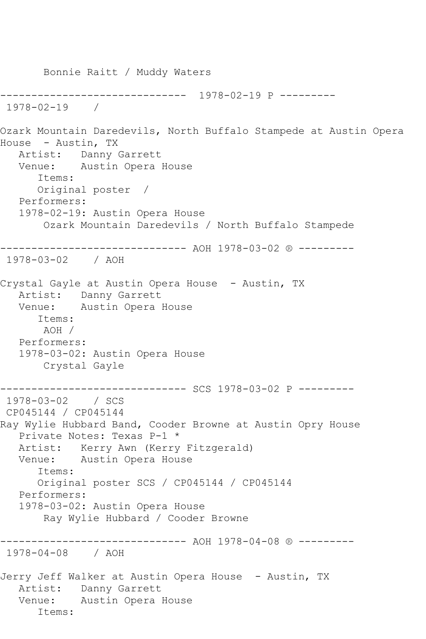Bonnie Raitt / Muddy Waters ------------------------------ 1978-02-19 P --------- 1978-02-19 / Ozark Mountain Daredevils, North Buffalo Stampede at Austin Opera House - Austin, TX Artist: Danny Garrett Venue: Austin Opera House Items: Original poster / Performers: 1978-02-19: Austin Opera House Ozark Mountain Daredevils / North Buffalo Stampede ------------------------------ AOH 1978-03-02 ® --------- 1978-03-02 / AOH Crystal Gayle at Austin Opera House - Austin, TX Artist: Danny Garrett Venue: Austin Opera House Items: AOH / Performers: 1978-03-02: Austin Opera House Crystal Gayle ------------------------------ SCS 1978-03-02 P --------- 1978-03-02 / SCS CP045144 / CP045144 Ray Wylie Hubbard Band, Cooder Browne at Austin Opry House Private Notes: Texas P-1 \* Artist: Kerry Awn (Kerry Fitzgerald) Venue: Austin Opera House Items: Original poster SCS / CP045144 / CP045144 Performers: 1978-03-02: Austin Opera House Ray Wylie Hubbard / Cooder Browne ------------------------------ AOH 1978-04-08 ® --------- 1978-04-08 / AOH Jerry Jeff Walker at Austin Opera House - Austin, TX Artist: Danny Garrett Venue: Austin Opera House Items: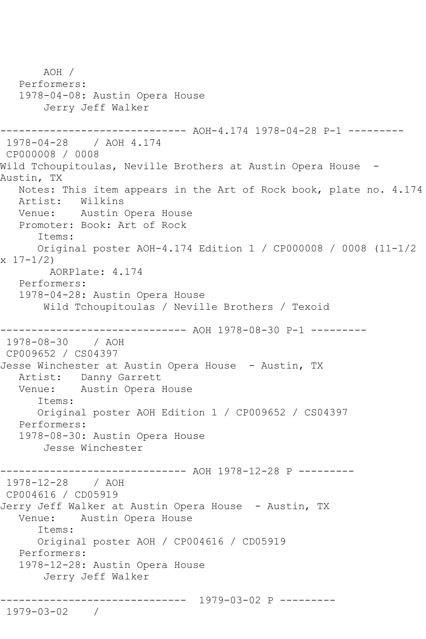AOH / Performers: 1978-04-08: Austin Opera House Jerry Jeff Walker -------------- AOH-4.174 1978-04-28 P-1 ---------1978-04-28 / AOH 4.174 CP000008 / 0008 Wild Tchoupitoulas, Neville Brothers at Austin Opera House -Austin, TX Notes: This item appears in the Art of Rock book, plate no. 4.174 Artist: Wilkins Venue: Austin Opera House Promoter: Book: Art of Rock Items: Original poster AOH-4.174 Edition 1 / CP000008 / 0008 (11-1/2 x 17-1/2) AORPlate: 4.174 Performers: 1978-04-28: Austin Opera House Wild Tchoupitoulas / Neville Brothers / Texoid ------------- AOH 1978-08-30 P-1 ---------1978-08-30 / AOH CP009652 / CS04397 Jesse Winchester at Austin Opera House - Austin, TX Artist: Danny Garrett Venue: Austin Opera House Items: Original poster AOH Edition 1 / CP009652 / CS04397 Performers: 1978-08-30: Austin Opera House Jesse Winchester ---------- AOH 1978-12-28 P ---------1978-12-28 / AOH CP004616 / CD05919 Jerry Jeff Walker at Austin Opera House - Austin, TX Venue: Austin Opera House Items: Original poster AOH / CP004616 / CD05919 Performers: 1978-12-28: Austin Opera House Jerry Jeff Walker ------------------------------ 1979-03-02 P --------- 1979-03-02 /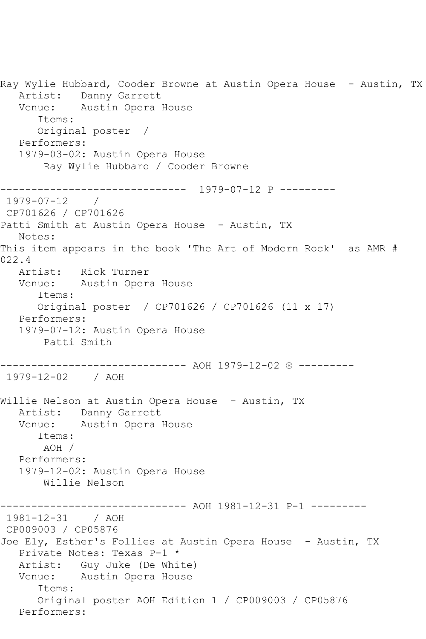Ray Wylie Hubbard, Cooder Browne at Austin Opera House - Austin, TX Artist: Danny Garrett Venue: Austin Opera House Items: Original poster / Performers: 1979-03-02: Austin Opera House Ray Wylie Hubbard / Cooder Browne ------------------------------ 1979-07-12 P --------- 1979-07-12 / CP701626 / CP701626 Patti Smith at Austin Opera House - Austin, TX Notes: This item appears in the book 'The Art of Modern Rock' as AMR # 022.4 Artist: Rick Turner Venue: Austin Opera House Items: Original poster / CP701626 / CP701626 (11 x 17) Performers: 1979-07-12: Austin Opera House Patti Smith ------------------------------ AOH 1979-12-02 ® --------- 1979-12-02 / AOH Willie Nelson at Austin Opera House - Austin, TX Artist: Danny Garrett Venue: Austin Opera House Items: AOH / Performers: 1979-12-02: Austin Opera House Willie Nelson ----------- AOH 1981-12-31 P-1 ----------1981-12-31 / AOH CP009003 / CP05876 Joe Ely, Esther's Follies at Austin Opera House - Austin, TX Private Notes: Texas P-1 \* Artist: Guy Juke (De White) Venue: Austin Opera House Items: Original poster AOH Edition 1 / CP009003 / CP05876 Performers: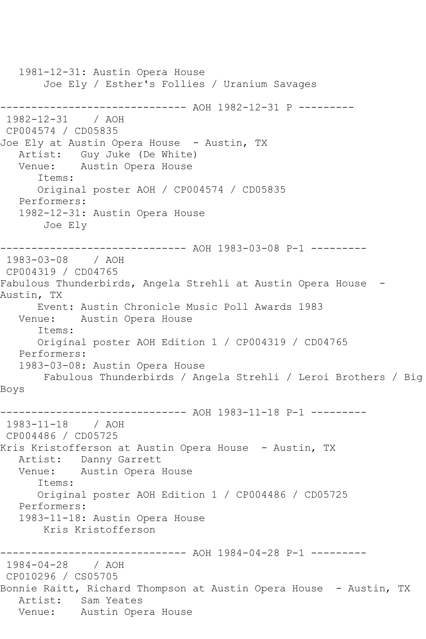1981-12-31: Austin Opera House Joe Ely / Esther's Follies / Uranium Savages ------------------------------ AOH 1982-12-31 P --------- 1982-12-31 / AOH CP004574 / CD05835 Joe Ely at Austin Opera House - Austin, TX Artist: Guy Juke (De White) Venue: Austin Opera House Items: Original poster AOH / CP004574 / CD05835 Performers: 1982-12-31: Austin Opera House Joe Ely ------------------------------ AOH 1983-03-08 P-1 --------- 1983-03-08 / AOH CP004319 / CD04765 Fabulous Thunderbirds, Angela Strehli at Austin Opera House -Austin, TX Event: Austin Chronicle Music Poll Awards 1983 Venue: Austin Opera House Items: Original poster AOH Edition 1 / CP004319 / CD04765 Performers: 1983-03-08: Austin Opera House Fabulous Thunderbirds / Angela Strehli / Leroi Brothers / Big Boys ------------------------------ AOH 1983-11-18 P-1 --------- 1983-11-18 / AOH CP004486 / CD05725 Kris Kristofferson at Austin Opera House - Austin, TX Artist: Danny Garrett Venue: Austin Opera House Items: Original poster AOH Edition 1 / CP004486 / CD05725 Performers: 1983-11-18: Austin Opera House Kris Kristofferson ------------------------------ AOH 1984-04-28 P-1 --------- 1984-04-28 / AOH CP010296 / CS05705 Bonnie Raitt, Richard Thompson at Austin Opera House - Austin, TX Artist: Sam Yeates Venue: Austin Opera House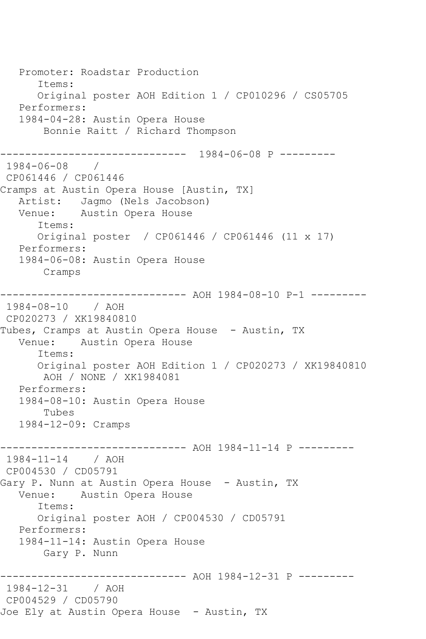Promoter: Roadstar Production Items: Original poster AOH Edition 1 / CP010296 / CS05705 Performers: 1984-04-28: Austin Opera House Bonnie Raitt / Richard Thompson ------------------------------ 1984-06-08 P --------- 1984-06-08 / CP061446 / CP061446 Cramps at Austin Opera House [Austin, TX] Artist: Jagmo (Nels Jacobson)<br>Venue: Austin Opera House Austin Opera House Items: Original poster / CP061446 / CP061446 (11 x 17) Performers: 1984-06-08: Austin Opera House Cramps ------------------------------ AOH 1984-08-10 P-1 --------- 1984-08-10 / AOH CP020273 / XK19840810 Tubes, Cramps at Austin Opera House - Austin, TX<br>Venue: Austin Opera House Austin Opera House Items: Original poster AOH Edition 1 / CP020273 / XK19840810 AOH / NONE / XK1984081 Performers: 1984-08-10: Austin Opera House Tubes 1984-12-09: Cramps ------------------------------ AOH 1984-11-14 P --------- 1984-11-14 / AOH CP004530 / CD05791 Gary P. Nunn at Austin Opera House – Austin, TX<br>Venue: Austin Opera House Austin Opera House Items: Original poster AOH / CP004530 / CD05791 Performers: 1984-11-14: Austin Opera House Gary P. Nunn ------------------------------ AOH 1984-12-31 P --------- 1984-12-31 / AOH CP004529 / CD05790 Joe Ely at Austin Opera House - Austin, TX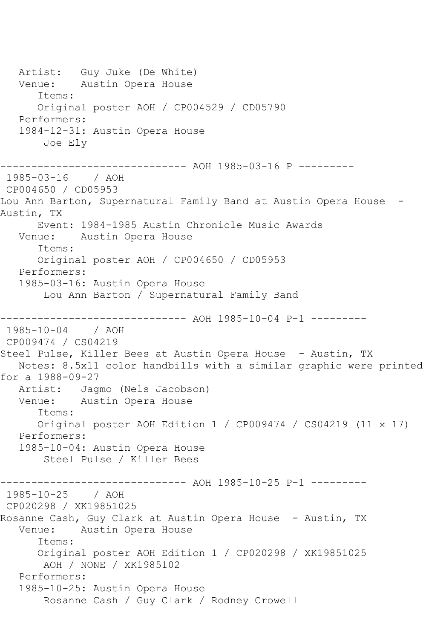Artist: Guy Juke (De White) Venue: Austin Opera House Items: Original poster AOH / CP004529 / CD05790 Performers: 1984-12-31: Austin Opera House Joe Ely ---------- AOH 1985-03-16 P ---------1985-03-16 / AOH CP004650 / CD05953 Lou Ann Barton, Supernatural Family Band at Austin Opera House -Austin, TX Event: 1984-1985 Austin Chronicle Music Awards Venue: Austin Opera House Items: Original poster AOH / CP004650 / CD05953 Performers: 1985-03-16: Austin Opera House Lou Ann Barton / Supernatural Family Band ------------------------------ AOH 1985-10-04 P-1 --------- 1985-10-04 / AOH CP009474 / CS04219 Steel Pulse, Killer Bees at Austin Opera House - Austin, TX Notes: 8.5x11 color handbills with a similar graphic were printed for a 1988-09-27 Artist: Jagmo (Nels Jacobson) Venue: Austin Opera House Items: Original poster AOH Edition 1 / CP009474 / CS04219 (11 x 17) Performers: 1985-10-04: Austin Opera House Steel Pulse / Killer Bees ------------------------------ AOH 1985-10-25 P-1 --------- 1985-10-25 / AOH CP020298 / XK19851025 Rosanne Cash, Guy Clark at Austin Opera House - Austin, TX<br>Venue: Austin Opera House Austin Opera House Items: Original poster AOH Edition 1 / CP020298 / XK19851025 AOH / NONE / XK1985102 Performers: 1985-10-25: Austin Opera House Rosanne Cash / Guy Clark / Rodney Crowell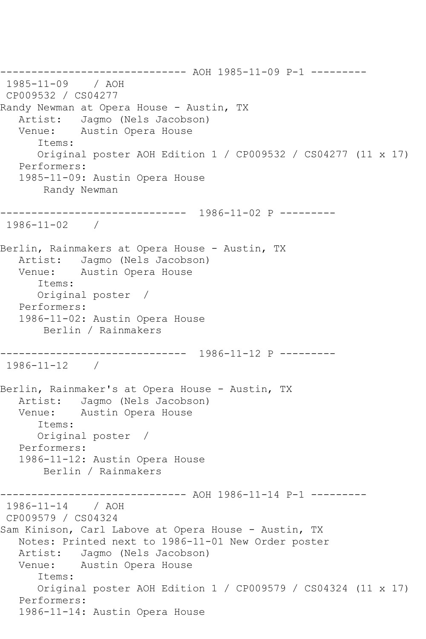------------------------------ AOH 1985-11-09 P-1 --------- 1985-11-09 / AOH CP009532 / CS04277 Randy Newman at Opera House - Austin, TX Artist: Jagmo (Nels Jacobson) Venue: Austin Opera House Items: Original poster AOH Edition 1 / CP009532 / CS04277 (11 x 17) Performers: 1985-11-09: Austin Opera House Randy Newman ------------------------------ 1986-11-02 P --------- 1986-11-02 / Berlin, Rainmakers at Opera House - Austin, TX Artist: Jagmo (Nels Jacobson) Venue: Austin Opera House Items: Original poster / Performers: 1986-11-02: Austin Opera House Berlin / Rainmakers ------------------------------ 1986-11-12 P --------- 1986-11-12 / Berlin, Rainmaker's at Opera House - Austin, TX Artist: Jagmo (Nels Jacobson) Venue: Austin Opera House Items: Original poster / Performers: 1986-11-12: Austin Opera House Berlin / Rainmakers ------------------------------ AOH 1986-11-14 P-1 --------- 1986-11-14 / AOH CP009579 / CS04324 Sam Kinison, Carl Labove at Opera House - Austin, TX Notes: Printed next to 1986-11-01 New Order poster Artist: Jagmo (Nels Jacobson) Venue: Austin Opera House Items: Original poster AOH Edition 1 / CP009579 / CS04324 (11 x 17) Performers: 1986-11-14: Austin Opera House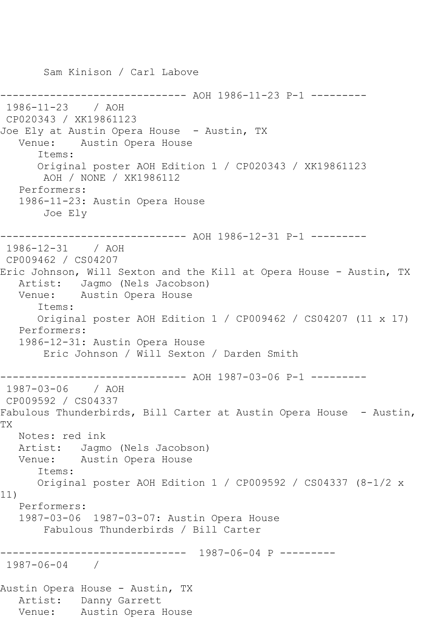Sam Kinison / Carl Labove ---------- AOH 1986-11-23 P-1 ---------1986-11-23 / AOH CP020343 / XK19861123 Joe Ely at Austin Opera House - Austin, TX Venue: Austin Opera House Items: Original poster AOH Edition 1 / CP020343 / XK19861123 AOH / NONE / XK1986112 Performers: 1986-11-23: Austin Opera House Joe Ely ------------------------------ AOH 1986-12-31 P-1 --------- 1986-12-31 / AOH CP009462 / CS04207 Eric Johnson, Will Sexton and the Kill at Opera House - Austin, TX Artist: Jagmo (Nels Jacobson) Venue: Austin Opera House Items: Original poster AOH Edition 1 / CP009462 / CS04207 (11 x 17) Performers: 1986-12-31: Austin Opera House Eric Johnson / Will Sexton / Darden Smith ------------------------------ AOH 1987-03-06 P-1 --------- 1987-03-06 / AOH CP009592 / CS04337 Fabulous Thunderbirds, Bill Carter at Austin Opera House - Austin, TX Notes: red ink Artist: Jagmo (Nels Jacobson) Venue: Austin Opera House Items: Original poster AOH Edition 1 / CP009592 / CS04337 (8-1/2 x 11) Performers: 1987-03-06 1987-03-07: Austin Opera House Fabulous Thunderbirds / Bill Carter ------------------------------ 1987-06-04 P --------- 1987-06-04 / Austin Opera House - Austin, TX Artist: Danny Garrett Venue: Austin Opera House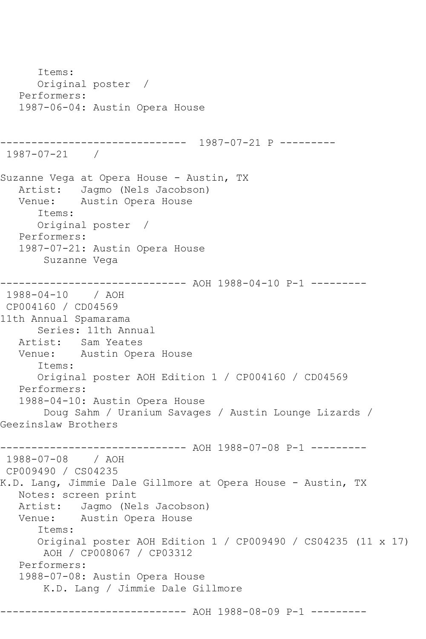Items: Original poster / Performers: 1987-06-04: Austin Opera House ------------------------------ 1987-07-21 P --------- 1987-07-21 / Suzanne Vega at Opera House - Austin, TX Artist: Jagmo (Nels Jacobson) Venue: Austin Opera House Items: Original poster / Performers: 1987-07-21: Austin Opera House Suzanne Vega ------------------------------ AOH 1988-04-10 P-1 --------- 1988-04-10 / AOH CP004160 / CD04569 11th Annual Spamarama Series: 11th Annual Artist: Sam Yeates Venue: Austin Opera House Items: Original poster AOH Edition 1 / CP004160 / CD04569 Performers: 1988-04-10: Austin Opera House Doug Sahm / Uranium Savages / Austin Lounge Lizards / Geezinslaw Brothers ------------------------------ AOH 1988-07-08 P-1 --------- 1988-07-08 / AOH CP009490 / CS04235 K.D. Lang, Jimmie Dale Gillmore at Opera House - Austin, TX Notes: screen print Artist: Jagmo (Nels Jacobson) Venue: Austin Opera House Items: Original poster AOH Edition 1 / CP009490 / CS04235 (11 x 17) AOH / CP008067 / CP03312 Performers: 1988-07-08: Austin Opera House K.D. Lang / Jimmie Dale Gillmore --------- AOH 1988-08-09 P-1 ---------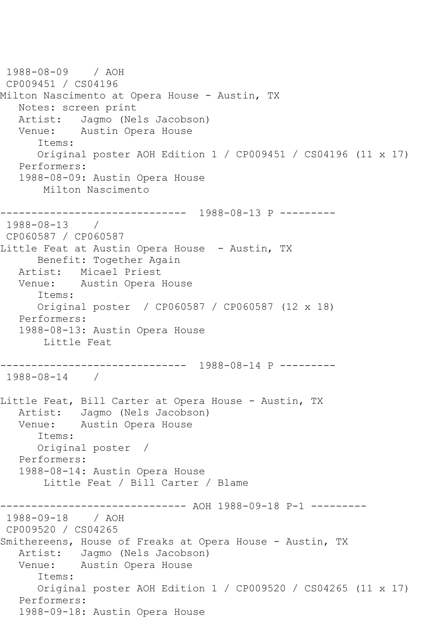1988-08-09 / AOH CP009451 / CS04196 Milton Nascimento at Opera House - Austin, TX Notes: screen print Artist: Jagmo (Nels Jacobson) Venue: Austin Opera House Items: Original poster AOH Edition 1 / CP009451 / CS04196 (11 x 17) Performers: 1988-08-09: Austin Opera House Milton Nascimento ------------------------------ 1988-08-13 P --------- 1988-08-13 / CP060587 / CP060587 Little Feat at Austin Opera House - Austin, TX Benefit: Together Again Artist: Micael Priest Venue: Austin Opera House Items: Original poster / CP060587 / CP060587 (12 x 18) Performers: 1988-08-13: Austin Opera House Little Feat ------------------------------ 1988-08-14 P --------- 1988-08-14 / Little Feat, Bill Carter at Opera House - Austin, TX Artist: Jagmo (Nels Jacobson) Venue: Austin Opera House Items: Original poster / Performers: 1988-08-14: Austin Opera House Little Feat / Bill Carter / Blame ----------- AOH 1988-09-18 P-1 ---------1988-09-18 / AOH CP009520 / CS04265 Smithereens, House of Freaks at Opera House - Austin, TX Artist: Jagmo (Nels Jacobson) Venue: Austin Opera House Items: Original poster AOH Edition 1 / CP009520 / CS04265 (11 x 17) Performers: 1988-09-18: Austin Opera House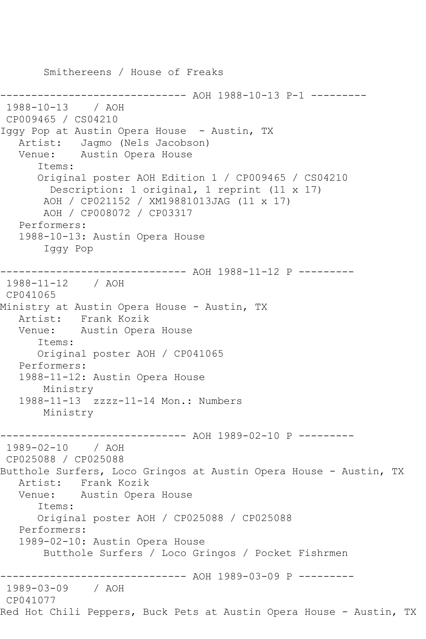Smithereens / House of Freaks ----------- AOH 1988-10-13 P-1 ---------1988-10-13 / AOH CP009465 / CS04210 Iggy Pop at Austin Opera House - Austin, TX Artist: Jagmo (Nels Jacobson) Venue: Austin Opera House Items: Original poster AOH Edition 1 / CP009465 / CS04210 Description: 1 original, 1 reprint (11 x 17) AOH / CP021152 / XM19881013JAG (11 x 17) AOH / CP008072 / CP03317 Performers: 1988-10-13: Austin Opera House Iggy Pop ------------------------------ AOH 1988-11-12 P --------- 1988-11-12 / AOH CP041065 Ministry at Austin Opera House - Austin, TX<br>Artist: Frank Kozik Frank Kozik Venue: Austin Opera House Items: Original poster AOH / CP041065 Performers: 1988-11-12: Austin Opera House Ministry 1988-11-13 zzzz-11-14 Mon.: Numbers Ministry ------------------------------ AOH 1989-02-10 P --------- 1989-02-10 / AOH CP025088 / CP025088 Butthole Surfers, Loco Gringos at Austin Opera House - Austin, TX Artist: Frank Kozik Venue: Austin Opera House Items: Original poster AOH / CP025088 / CP025088 Performers: 1989-02-10: Austin Opera House Butthole Surfers / Loco Gringos / Pocket Fishrmen ------------------------------ AOH 1989-03-09 P --------- 1989-03-09 / AOH CP041077 Red Hot Chili Peppers, Buck Pets at Austin Opera House - Austin, TX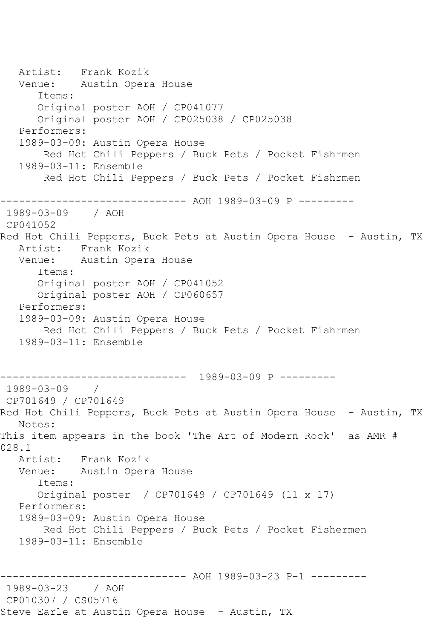Artist: Frank Kozik Venue: Austin Opera House Items: Original poster AOH / CP041077 Original poster AOH / CP025038 / CP025038 Performers: 1989-03-09: Austin Opera House Red Hot Chili Peppers / Buck Pets / Pocket Fishrmen 1989-03-11: Ensemble Red Hot Chili Peppers / Buck Pets / Pocket Fishrmen ------------------------------ AOH 1989-03-09 P --------- 1989-03-09 / AOH CP041052 Red Hot Chili Peppers, Buck Pets at Austin Opera House - Austin, TX Artist: Frank Kozik Venue: Austin Opera House Items: Original poster AOH / CP041052 Original poster AOH / CP060657 Performers: 1989-03-09: Austin Opera House Red Hot Chili Peppers / Buck Pets / Pocket Fishrmen 1989-03-11: Ensemble ------------------------------ 1989-03-09 P --------- 1989-03-09 / CP701649 / CP701649 Red Hot Chili Peppers, Buck Pets at Austin Opera House - Austin, TX Notes: This item appears in the book 'The Art of Modern Rock' as AMR # 028.1 Artist: Frank Kozik Venue: Austin Opera House Items: Original poster / CP701649 / CP701649 (11 x 17) Performers: 1989-03-09: Austin Opera House Red Hot Chili Peppers / Buck Pets / Pocket Fishermen 1989-03-11: Ensemble ------------------------------ AOH 1989-03-23 P-1 --------- 1989-03-23 / AOH CP010307 / CS05716 Steve Earle at Austin Opera House - Austin, TX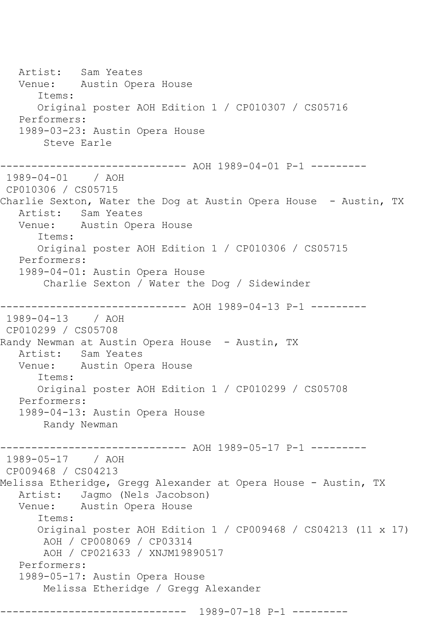Artist: Sam Yeates Venue: Austin Opera House Items: Original poster AOH Edition 1 / CP010307 / CS05716 Performers: 1989-03-23: Austin Opera House Steve Earle ------------------------------ AOH 1989-04-01 P-1 --------- 1989-04-01 / AOH CP010306 / CS05715 Charlie Sexton, Water the Dog at Austin Opera House - Austin, TX Artist: Sam Yeates Venue: Austin Opera House Items: Original poster AOH Edition 1 / CP010306 / CS05715 Performers: 1989-04-01: Austin Opera House Charlie Sexton / Water the Dog / Sidewinder ------------------------------ AOH 1989-04-13 P-1 --------- 1989-04-13 / AOH CP010299 / CS05708 Randy Newman at Austin Opera House - Austin, TX Artist: Sam Yeates<br>Venue: Austin Ope Austin Opera House Items: Original poster AOH Edition 1 / CP010299 / CS05708 Performers: 1989-04-13: Austin Opera House Randy Newman ------------------------------ AOH 1989-05-17 P-1 --------- 1989-05-17 / AOH CP009468 / CS04213 Melissa Etheridge, Gregg Alexander at Opera House - Austin, TX Artist: Jagmo (Nels Jacobson) Venue: Austin Opera House Items: Original poster AOH Edition 1 / CP009468 / CS04213 (11 x 17) AOH / CP008069 / CP03314 AOH / CP021633 / XNJM19890517 Performers: 1989-05-17: Austin Opera House Melissa Etheridge / Gregg Alexander ------------------------------ 1989-07-18 P-1 ---------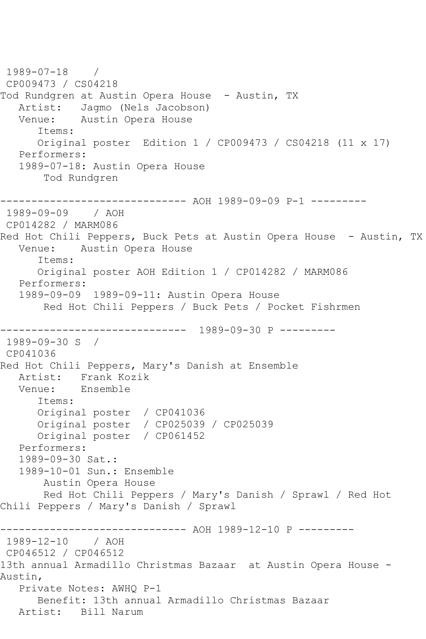```
1989-07-18 / 
CP009473 / CS04218
Tod Rundgren at Austin Opera House - Austin, TX
  Artist: Jagmo (Nels Jacobson)<br>Venue: Austin Opera House
            Austin Opera House
       Items:
       Original poster Edition 1 / CP009473 / CS04218 (11 x 17)
   Performers:
    1989-07-18: Austin Opera House
        Tod Rundgren
------------------------------ AOH 1989-09-09 P-1 ---------
1989-09-09 / AOH 
CP014282 / MARM086
Red Hot Chili Peppers, Buck Pets at Austin Opera House - Austin, TX
   Venue: Austin Opera House
       Items:
       Original poster AOH Edition 1 / CP014282 / MARM086
   Performers:
    1989-09-09 1989-09-11: Austin Opera House
        Red Hot Chili Peppers / Buck Pets / Pocket Fishrmen
 ------------------------------ 1989-09-30 P ---------
1989-09-30 S / 
CP041036
Red Hot Chili Peppers, Mary's Danish at Ensemble
  Artist: Frank Kozik<br>Venue: Ensemble
            Ensemble
       Items:
       Original poster / CP041036
       Original poster / CP025039 / CP025039
       Original poster / CP061452
   Performers:
    1989-09-30 Sat.:
    1989-10-01 Sun.: Ensemble
        Austin Opera House
        Red Hot Chili Peppers / Mary's Danish / Sprawl / Red Hot 
Chili Peppers / Mary's Danish / Sprawl
------------------------------ AOH 1989-12-10 P ---------
1989-12-10 / AOH 
CP046512 / CP046512
13th annual Armadillo Christmas Bazaar at Austin Opera House -
Austin,
   Private Notes: AWHQ P-1
       Benefit: 13th annual Armadillo Christmas Bazaar
   Artist: Bill Narum
```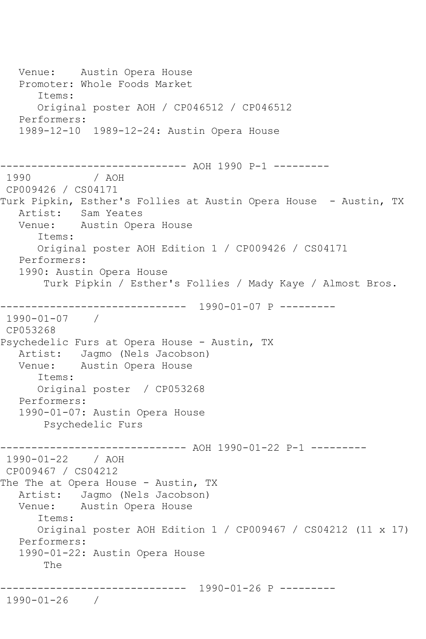Venue: Austin Opera House Promoter: Whole Foods Market Items: Original poster AOH / CP046512 / CP046512 Performers: 1989-12-10 1989-12-24: Austin Opera House ------------------------------ AOH 1990 P-1 --------- / AOH CP009426 / CS04171 Turk Pipkin, Esther's Follies at Austin Opera House - Austin, TX Artist: Sam Yeates Venue: Austin Opera House Items: Original poster AOH Edition 1 / CP009426 / CS04171 Performers: 1990: Austin Opera House Turk Pipkin / Esther's Follies / Mady Kaye / Almost Bros. ------------------------------ 1990-01-07 P --------- 1990-01-07 / CP053268 Psychedelic Furs at Opera House - Austin, TX Artist: Jagmo (Nels Jacobson)<br>Venue: Austin Opera House Austin Opera House Items: Original poster / CP053268 Performers: 1990-01-07: Austin Opera House Psychedelic Furs ------------------------------ AOH 1990-01-22 P-1 --------- 1990-01-22 / AOH CP009467 / CS04212 The The at Opera House - Austin, TX Artist: Jagmo (Nels Jacobson) Venue: Austin Opera House Items: Original poster AOH Edition 1 / CP009467 / CS04212 (11 x 17) Performers: 1990-01-22: Austin Opera House The ------------------------------ 1990-01-26 P --------- 1990-01-26 /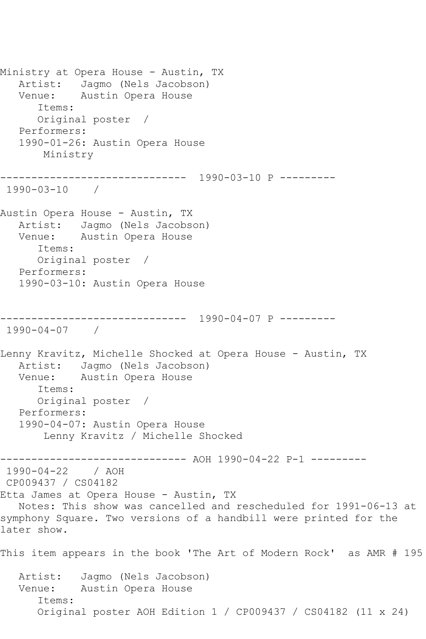Ministry at Opera House - Austin, TX Artist: Jagmo (Nels Jacobson) Venue: Austin Opera House Items: Original poster / Performers: 1990-01-26: Austin Opera House Ministry ------------------------------ 1990-03-10 P --------- 1990-03-10 / Austin Opera House - Austin, TX Artist: Jagmo (Nels Jacobson) Venue: Austin Opera House Items: Original poster / Performers: 1990-03-10: Austin Opera House ------------------------------ 1990-04-07 P --------- 1990-04-07 / Lenny Kravitz, Michelle Shocked at Opera House - Austin, TX Artist: Jagmo (Nels Jacobson)<br>Venue: Austin Opera House Austin Opera House Items: Original poster / Performers: 1990-04-07: Austin Opera House Lenny Kravitz / Michelle Shocked ------------------------------ AOH 1990-04-22 P-1 --------- 1990-04-22 / AOH CP009437 / CS04182 Etta James at Opera House - Austin, TX Notes: This show was cancelled and rescheduled for 1991-06-13 at symphony Square. Two versions of a handbill were printed for the later show. This item appears in the book 'The Art of Modern Rock' as AMR # 195 Artist: Jagmo (Nels Jacobson) Venue: Austin Opera House Items: Original poster AOH Edition 1 / CP009437 / CS04182 (11 x 24)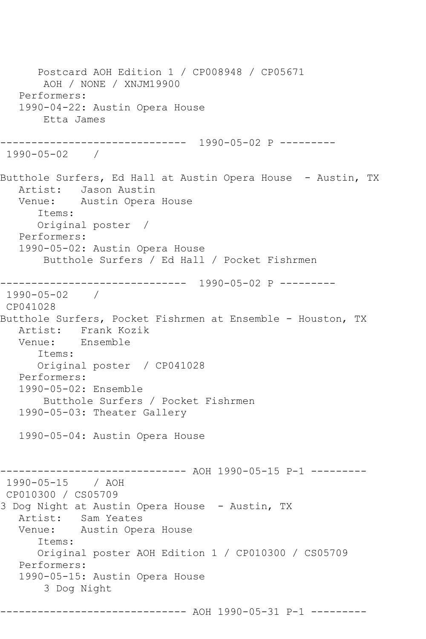Postcard AOH Edition 1 / CP008948 / CP05671 AOH / NONE / XNJM19900 Performers: 1990-04-22: Austin Opera House Etta James ------------------------------ 1990-05-02 P --------- 1990-05-02 / Butthole Surfers, Ed Hall at Austin Opera House - Austin, TX Artist: Jason Austin Venue: Austin Opera House Items: Original poster / Performers: 1990-05-02: Austin Opera House Butthole Surfers / Ed Hall / Pocket Fishrmen ------------------------------ 1990-05-02 P --------- 1990-05-02 / CP041028 Butthole Surfers, Pocket Fishrmen at Ensemble - Houston, TX Artist: Frank Kozik Venue: Ensemble Items: Original poster / CP041028 Performers: 1990-05-02: Ensemble Butthole Surfers / Pocket Fishrmen 1990-05-03: Theater Gallery 1990-05-04: Austin Opera House ------------------------------ AOH 1990-05-15 P-1 --------- 1990-05-15 / AOH CP010300 / CS05709 3 Dog Night at Austin Opera House - Austin, TX Artist: Sam Yeates Venue: Austin Opera House Items: Original poster AOH Edition 1 / CP010300 / CS05709 Performers: 1990-05-15: Austin Opera House 3 Dog Night ------------------------------ AOH 1990-05-31 P-1 ---------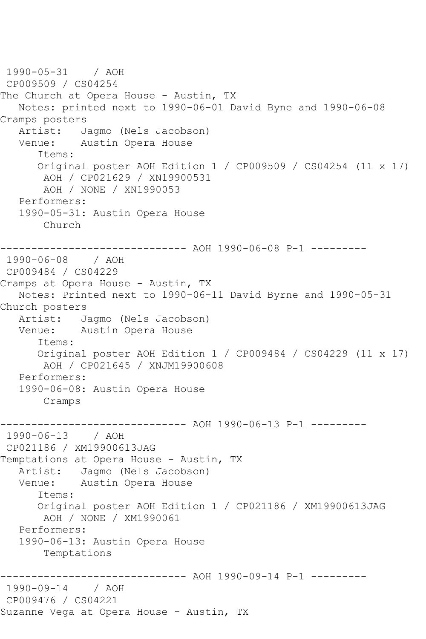```
1990-05-31 / AOH 
CP009509 / CS04254
The Church at Opera House - Austin, TX
   Notes: printed next to 1990-06-01 David Byne and 1990-06-08 
Cramps posters<br>Artist: J
            Jagmo (Nels Jacobson)
   Venue: Austin Opera House
       Items:
      Original poster AOH Edition 1 / CP009509 / CS04254 (11 x 17)
        AOH / CP021629 / XN19900531
        AOH / NONE / XN1990053
   Performers:
   1990-05-31: Austin Opera House
       Church
------------------------------ AOH 1990-06-08 P-1 ---------
1990-06-08 / AOH 
CP009484 / CS04229
Cramps at Opera House - Austin, TX
   Notes: Printed next to 1990-06-11 David Byrne and 1990-05-31 
Church posters
   Artist: Jagmo (Nels Jacobson)
   Venue: Austin Opera House
       Items:
       Original poster AOH Edition 1 / CP009484 / CS04229 (11 x 17)
        AOH / CP021645 / XNJM19900608
   Performers:
   1990-06-08: Austin Opera House
       Cramps
------------------------------ AOH 1990-06-13 P-1 ---------
1990-06-13 / AOH 
CP021186 / XM19900613JAG
Temptations at Opera House - Austin, TX
   Artist: Jagmo (Nels Jacobson)
   Venue: Austin Opera House
       Items:
       Original poster AOH Edition 1 / CP021186 / XM19900613JAG
        AOH / NONE / XM1990061
   Performers:
   1990-06-13: Austin Opera House
        Temptations
     ------------------------------ AOH 1990-09-14 P-1 ---------
1990-09-14 / AOH 
CP009476 / CS04221
Suzanne Vega at Opera House - Austin, TX
```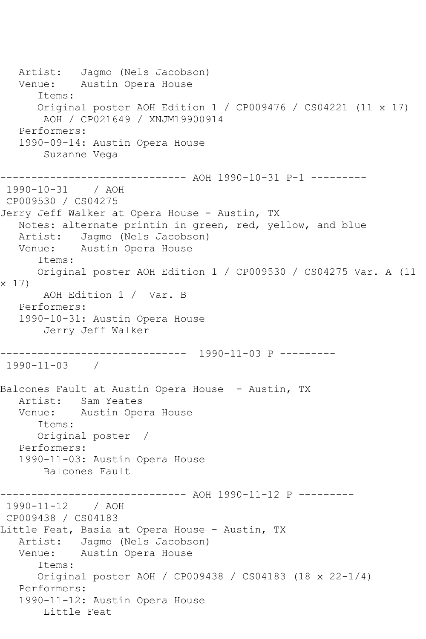Artist: Jagmo (Nels Jacobson) Venue: Austin Opera House Items: Original poster AOH Edition 1 / CP009476 / CS04221 (11 x 17) AOH / CP021649 / XNJM19900914 Performers: 1990-09-14: Austin Opera House Suzanne Vega ------------------------------ AOH 1990-10-31 P-1 --------- 1990-10-31 / AOH CP009530 / CS04275 Jerry Jeff Walker at Opera House - Austin, TX Notes: alternate printin in green, red, yellow, and blue Artist: Jagmo (Nels Jacobson) Venue: Austin Opera House Items: Original poster AOH Edition 1 / CP009530 / CS04275 Var. A (11 x 17) AOH Edition 1 / Var. B Performers: 1990-10-31: Austin Opera House Jerry Jeff Walker ------------------------------ 1990-11-03 P --------- 1990-11-03 / Balcones Fault at Austin Opera House - Austin, TX Artist: Sam Yeates Venue: Austin Opera House Items: Original poster / Performers: 1990-11-03: Austin Opera House Balcones Fault ------------------------------ AOH 1990-11-12 P --------- 1990-11-12 / AOH CP009438 / CS04183 Little Feat, Basia at Opera House - Austin, TX Artist: Jagmo (Nels Jacobson) Venue: Austin Opera House Items: Original poster AOH / CP009438 / CS04183 (18 x 22-1/4) Performers: 1990-11-12: Austin Opera House Little Feat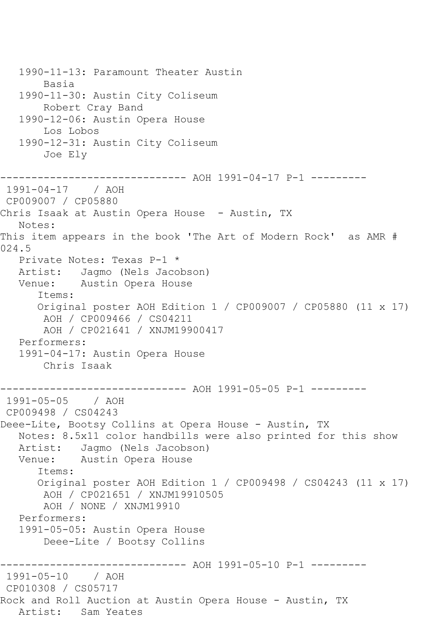1990-11-13: Paramount Theater Austin Basia 1990-11-30: Austin City Coliseum Robert Cray Band 1990-12-06: Austin Opera House Los Lobos 1990-12-31: Austin City Coliseum Joe Ely ------------------------------ AOH 1991-04-17 P-1 --------- 1991-04-17 / AOH CP009007 / CP05880 Chris Isaak at Austin Opera House - Austin, TX Notes: This item appears in the book 'The Art of Modern Rock' as AMR # 024.5 Private Notes: Texas P-1 \* Artist: Jagmo (Nels Jacobson) Venue: Austin Opera House Items: Original poster AOH Edition 1 / CP009007 / CP05880 (11 x 17) AOH / CP009466 / CS04211 AOH / CP021641 / XNJM19900417 Performers: 1991-04-17: Austin Opera House Chris Isaak ------------------------------ AOH 1991-05-05 P-1 --------- 1991-05-05 / AOH CP009498 / CS04243 Deee-Lite, Bootsy Collins at Opera House - Austin, TX Notes: 8.5x11 color handbills were also printed for this show Artist: Jagmo (Nels Jacobson)<br>Venue: Austin Opera House Austin Opera House Items: Original poster AOH Edition 1 / CP009498 / CS04243 (11 x 17) AOH / CP021651 / XNJM19910505 AOH / NONE / XNJM19910 Performers: 1991-05-05: Austin Opera House Deee-Lite / Bootsy Collins ----------------- AOH 1991-05-10 P-1 ----------<br>/ AOH 1991-05-10 CP010308 / CS05717 Rock and Roll Auction at Austin Opera House - Austin, TX Artist: Sam Yeates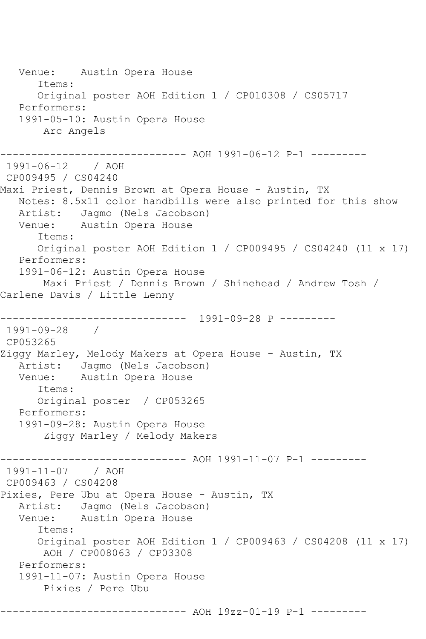Venue: Austin Opera House Items: Original poster AOH Edition 1 / CP010308 / CS05717 Performers: 1991-05-10: Austin Opera House Arc Angels ------------------------------ AOH 1991-06-12 P-1 --------- 1991-06-12 / AOH CP009495 / CS04240 Maxi Priest, Dennis Brown at Opera House - Austin, TX Notes: 8.5x11 color handbills were also printed for this show Artist: Jagmo (Nels Jacobson) Venue: Austin Opera House Items: Original poster AOH Edition 1 / CP009495 / CS04240 (11 x 17) Performers: 1991-06-12: Austin Opera House Maxi Priest / Dennis Brown / Shinehead / Andrew Tosh / Carlene Davis / Little Lenny ------------------------------ 1991-09-28 P --------- 1991-09-28 / CP053265 Ziggy Marley, Melody Makers at Opera House - Austin, TX Artist: Jagmo (Nels Jacobson)<br>Venue: Austin Opera House Austin Opera House Items: Original poster / CP053265 Performers: 1991-09-28: Austin Opera House Ziggy Marley / Melody Makers ------------------------------ AOH 1991-11-07 P-1 --------- 1991-11-07 / AOH CP009463 / CS04208 Pixies, Pere Ubu at Opera House - Austin, TX Artist: Jagmo (Nels Jacobson) Venue: Austin Opera House Items: Original poster AOH Edition 1 / CP009463 / CS04208 (11 x 17) AOH / CP008063 / CP03308 Performers: 1991-11-07: Austin Opera House Pixies / Pere Ubu ------------------------------ AOH 19zz-01-19 P-1 ---------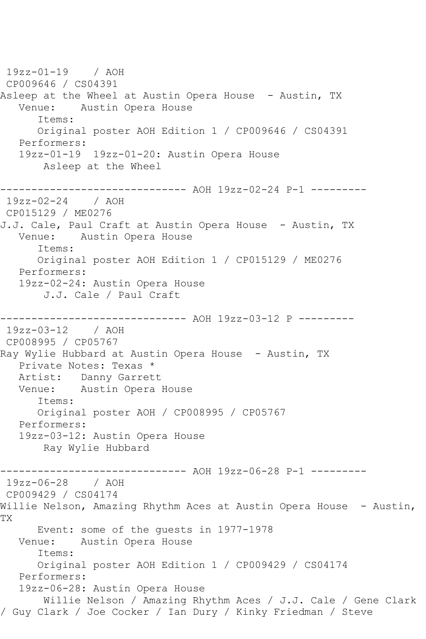19zz-01-19 / AOH CP009646 / CS04391 Asleep at the Wheel at Austin Opera House - Austin, TX Venue: Austin Opera House Items: Original poster AOH Edition 1 / CP009646 / CS04391 Performers: 19zz-01-19 19zz-01-20: Austin Opera House Asleep at the Wheel ------------------------------ AOH 19zz-02-24 P-1 --------- 19zz-02-24 / AOH CP015129 / ME0276 J.J. Cale, Paul Craft at Austin Opera House - Austin, TX Venue: Austin Opera House Items: Original poster AOH Edition 1 / CP015129 / ME0276 Performers: 19zz-02-24: Austin Opera House J.J. Cale / Paul Craft ------------------------------ AOH 19zz-03-12 P --------- 19zz-03-12 / AOH CP008995 / CP05767 Ray Wylie Hubbard at Austin Opera House - Austin, TX Private Notes: Texas \* Artist: Danny Garrett Venue: Austin Opera House Items: Original poster AOH / CP008995 / CP05767 Performers: 19zz-03-12: Austin Opera House Ray Wylie Hubbard ---------- AOH 19zz-06-28 P-1 ---------19zz-06-28 / AOH CP009429 / CS04174 Willie Nelson, Amazing Rhythm Aces at Austin Opera House - Austin, TX Event: some of the guests in 1977-1978<br>Venue: Austin Opera House Austin Opera House Items: Original poster AOH Edition 1 / CP009429 / CS04174 Performers: 19zz-06-28: Austin Opera House Willie Nelson / Amazing Rhythm Aces / J.J. Cale / Gene Clark / Guy Clark / Joe Cocker / Ian Dury / Kinky Friedman / Steve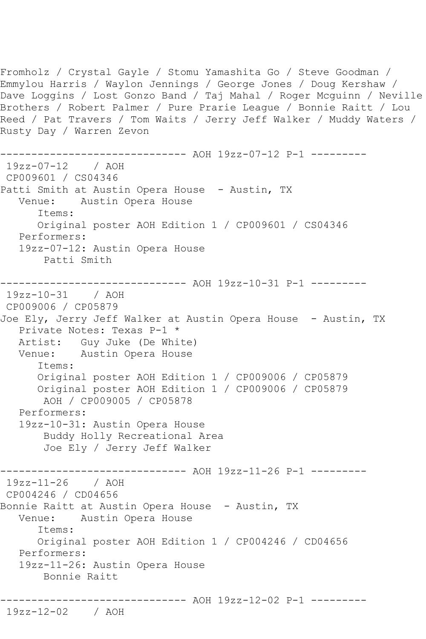Fromholz / Crystal Gayle / Stomu Yamashita Go / Steve Goodman / Emmylou Harris / Waylon Jennings / George Jones / Doug Kershaw / Dave Loggins / Lost Gonzo Band / Taj Mahal / Roger Mcguinn / Neville Brothers / Robert Palmer / Pure Prarie League / Bonnie Raitt / Lou Reed / Pat Travers / Tom Waits / Jerry Jeff Walker / Muddy Waters / Rusty Day / Warren Zevon ------------------------------ AOH 19zz-07-12 P-1 --------- 19zz-07-12 / AOH CP009601 / CS04346 Patti Smith at Austin Opera House - Austin, TX Venue: Austin Opera House Items: Original poster AOH Edition 1 / CP009601 / CS04346 Performers: 19zz-07-12: Austin Opera House Patti Smith ----------- AOH 19zz-10-31 P-1 ---------19zz-10-31 / AOH CP009006 / CP05879 Joe Ely, Jerry Jeff Walker at Austin Opera House - Austin, TX Private Notes: Texas P-1 \* Artist: Guy Juke (De White) Venue: Austin Opera House Items: Original poster AOH Edition 1 / CP009006 / CP05879 Original poster AOH Edition 1 / CP009006 / CP05879 AOH / CP009005 / CP05878 Performers: 19zz-10-31: Austin Opera House Buddy Holly Recreational Area Joe Ely / Jerry Jeff Walker ----------- AOH 19zz-11-26 P-1 ----------19zz-11-26 / AOH CP004246 / CD04656 Bonnie Raitt at Austin Opera House - Austin, TX Venue: Austin Opera House Items: Original poster AOH Edition 1 / CP004246 / CD04656 Performers: 19zz-11-26: Austin Opera House Bonnie Raitt ------------------------------ AOH 19zz-12-02 P-1 --------- 19zz-12-02 / AOH